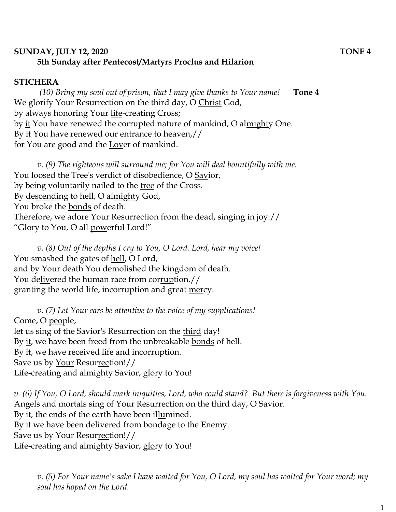## **SUNDAY, JULY 12, 2020 TONE 4 5th Sunday after Pentecost/Martyrs Proclus and Hilarion**

## **STICHERA**

*(10) Bring my soul out of prison, that I may give thanks to Your name!* **Tone 4** We glorify Your Resurrection on the third day, O Christ God, by always honoring Your life-creating Cross; by it You have renewed the corrupted nature of mankind, O almighty One. By it You have renewed our entrance to heaven,// for You are good and the Lover of mankind.

*v. (9) The righteous will surround me; for You will deal bountifully with me.*  You loosed the Tree's verdict of disobedience, O Savior, by being voluntarily nailed to the tree of the Cross. By descending to hell, O almighty God, You broke the bonds of death. Therefore, we adore Your Resurrection from the dead, singing in joy:// "Glory to You, O all powerful Lord!"

*v. (8) Out of the depths I cry to You, O Lord. Lord, hear my voice!*  You smashed the gates of <u>hell</u>, O Lord, and by Your death You demolished the kingdom of death. You delivered the human race from corruption,// granting the world life, incorruption and great mercy.

*v. (7) Let Your ears be attentive to the voice of my supplications!* Come, O people, let us sing of the Savior's Resurrection on the third day! By it, we have been freed from the unbreakable bonds of hell. By it, we have received life and incorruption. Save us by Your Resurrection!// Life-creating and almighty Savior, glory to You!

*v. (6) If You, O Lord, should mark iniquities, Lord, who could stand? But there is forgiveness with You.*  Angels and mortals sing of Your Resurrection on the third day, O Savior. By it, the ends of the earth have been illumined. By it we have been delivered from bondage to the Enemy. Save us by Your Resurrection!// Life-creating and almighty Savior, glory to You!

*v. (5) For Your name's sake I have waited for You, O Lord, my soul has waited for Your word; my soul has hoped on the Lord.*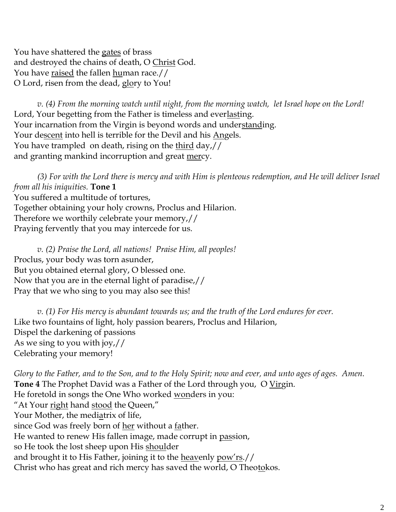You have shattered the gates of brass and destroyed the chains of death, O Christ God. You have <u>raised</u> the fallen <u>hu</u>man race.// O Lord, risen from the dead, glory to You!

*v. (4) From the morning watch until night, from the morning watch, let Israel hope on the Lord!*  Lord, Your begetting from the Father is timeless and everlasting. Your incarnation from the Virgin is beyond words and understanding. Your descent into hell is terrible for the Devil and his Angels. You have trampled on death, rising on the third day,// and granting mankind incorruption and great mercy.

*(3) For with the Lord there is mercy and with Him is plenteous redemption, and He will deliver Israel from all his iniquities.* **Tone 1** You suffered a multitude of tortures, Together obtaining your holy crowns, Proclus and Hilarion. Therefore we worthily celebrate your memory,// Praying fervently that you may intercede for us.

*v. (2) Praise the Lord, all nations! Praise Him, all peoples!* Proclus, your body was torn asunder, But you obtained eternal glory, O blessed one. Now that you are in the eternal light of paradise,// Pray that we who sing to you may also see this!

*v. (1) For His mercy is abundant towards us; and the truth of the Lord endures for ever.*  Like two fountains of light, holy passion bearers, Proclus and Hilarion, Dispel the darkening of passions As we sing to you with joy,// Celebrating your memory!

*Glory to the Father, and to the Son, and to the Holy Spirit; now and ever, and unto ages of ages. Amen.* **Tone 4** The Prophet David was a Father of the Lord through you, O Virgin. He foretold in songs the One Who worked wonders in you: "At Your right hand stood the Queen," Your Mother, the mediatrix of life, since God was freely born of her without a father. He wanted to renew His fallen image, made corrupt in passion, so He took the lost sheep upon His shoulder and brought it to His Father, joining it to the <u>heav</u>enly pow'rs.// Christ who has great and rich mercy has saved the world, O Theotokos.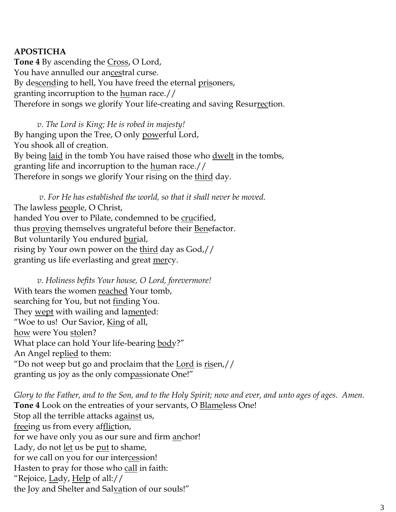## **APOSTICHA**

**Tone 4** By ascending the Cross, O Lord, You have annulled our ancestral curse. By descending to hell, You have freed the eternal prisoners, granting incorruption to the human race.// Therefore in songs we glorify Your life-creating and saving Resurrection.

*v. The Lord is King; He is robed in majesty!*  By hanging upon the Tree, O only powerful Lord, You shook all of creation. By being laid in the tomb You have raised those who dwelt in the tombs, granting life and incorruption to the human race.// Therefore in songs we glorify Your rising on the <u>third</u> day.

*v. For He has established the world, so that it shall never be moved.* The lawless people, O Christ, handed You over to Pilate, condemned to be crucified, thus proving themselves ungrateful before their Benefactor. But voluntarily You endured burial, rising by Your own power on the third day as God,// granting us life everlasting and great mercy.

*v. Holiness befits Your house, O Lord, forevermore!*  With tears the women reached Your tomb, searching for You, but not finding You. They wept with wailing and lamented: "Woe to us! Our Savior, King of all, how were You stolen? What place can hold Your life-bearing body?" An Angel replied to them: "Do not weep but go and proclaim that the Lord is  $risen$ // granting us joy as the only compassionate One!"

*Glory to the Father, and to the Son, and to the Holy Spirit; now and ever, and unto ages of ages. Amen.*  **Tone 4** Look on the entreaties of your servants, O Blameless One! Stop all the terrible attacks against us, freeing us from every affliction, for we have only you as our sure and firm anchor! Lady, do not <u>let</u> us be put to shame, for we call on you for our intercession! Hasten to pray for those who call in faith: "Rejoice, <u>La</u>dy, Help of all:// the Joy and Shelter and Salvation of our souls!"